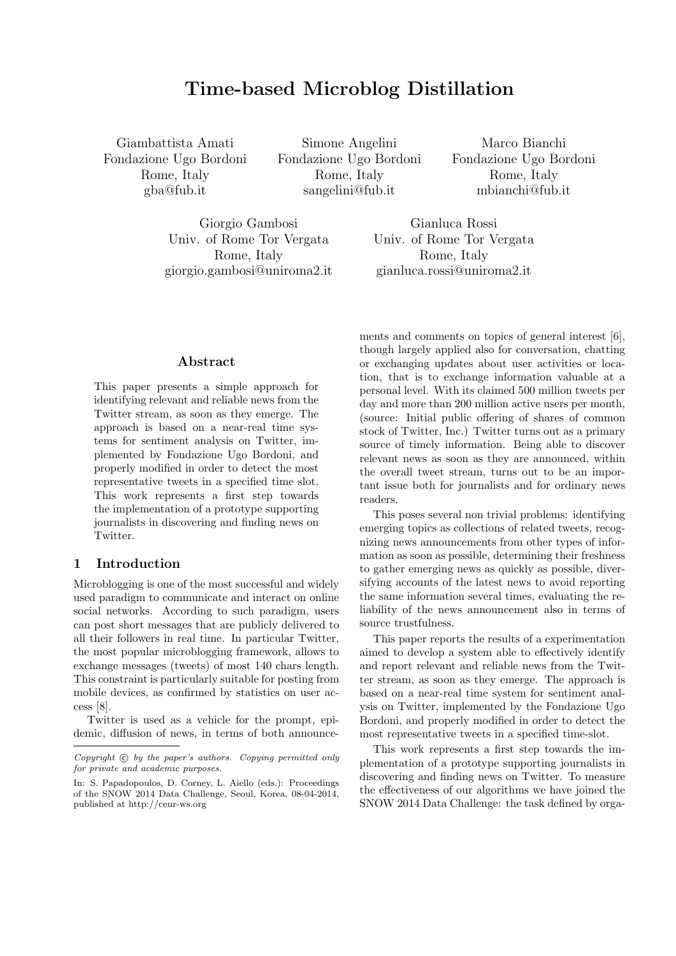# Time-based Microblog Distillation

Giambattista Amati Fondazione Ugo Bordoni Rome, Italy gba@fub.it

Simone Angelini Fondazione Ugo Bordoni Rome, Italy sangelini@fub.it

Marco Bianchi Fondazione Ugo Bordoni Rome, Italy mbianchi@fub.it

Giorgio Gambosi Univ. of Rome Tor Vergata Rome, Italy giorgio.gambosi@uniroma2.it

Gianluca Rossi Univ. of Rome Tor Vergata Rome, Italy gianluca.rossi@uniroma2.it

#### Abstract

This paper presents a simple approach for identifying relevant and reliable news from the Twitter stream, as soon as they emerge. The approach is based on a near-real time systems for sentiment analysis on Twitter, implemented by Fondazione Ugo Bordoni, and properly modified in order to detect the most representative tweets in a specified time slot. This work represents a first step towards the implementation of a prototype supporting journalists in discovering and finding news on Twitter.

## 1 Introduction

Microblogging is one of the most successful and widely used paradigm to communicate and interact on online social networks. According to such paradigm, users can post short messages that are publicly delivered to all their followers in real time. In particular Twitter, the most popular microblogging framework, allows to exchange messages (tweets) of most 140 chars length. This constraint is particularly suitable for posting from mobile devices, as confirmed by statistics on user access [8].

Twitter is used as a vehicle for the prompt, epidemic, diffusion of news, in terms of both announcements and comments on topics of general interest [6], though largely applied also for conversation, chatting or exchanging updates about user activities or location, that is to exchange information valuable at a personal level. With its claimed 500 million tweets per day and more than 200 million active users per month, (source: Initial public offering of shares of common stock of Twitter, Inc.) Twitter turns out as a primary source of timely information. Being able to discover relevant news as soon as they are announced, within the overall tweet stream, turns out to be an important issue both for journalists and for ordinary news readers.

This poses several non trivial problems: identifying emerging topics as collections of related tweets, recognizing news announcements from other types of information as soon as possible, determining their freshness to gather emerging news as quickly as possible, diversifying accounts of the latest news to avoid reporting the same information several times, evaluating the reliability of the news announcement also in terms of source trustfulness.

This paper reports the results of a experimentation aimed to develop a system able to effectively identify and report relevant and reliable news from the Twitter stream, as soon as they emerge. The approach is based on a near-real time system for sentiment analysis on Twitter, implemented by the Fondazione Ugo Bordoni, and properly modified in order to detect the most representative tweets in a specified time-slot.

This work represents a first step towards the implementation of a prototype supporting journalists in discovering and finding news on Twitter. To measure the effectiveness of our algorithms we have joined the SNOW 2014 Data Challenge: the task defined by orga-

 $Copyright$   $©$  by the paper's authors. Copying permitted only for private and academic purposes.

In: S. Papadopoulos, D. Corney, L. Aiello (eds.): Proceedings of the SNOW 2014 Data Challenge, Seoul, Korea, 08-04-2014, published at http://ceur-ws.org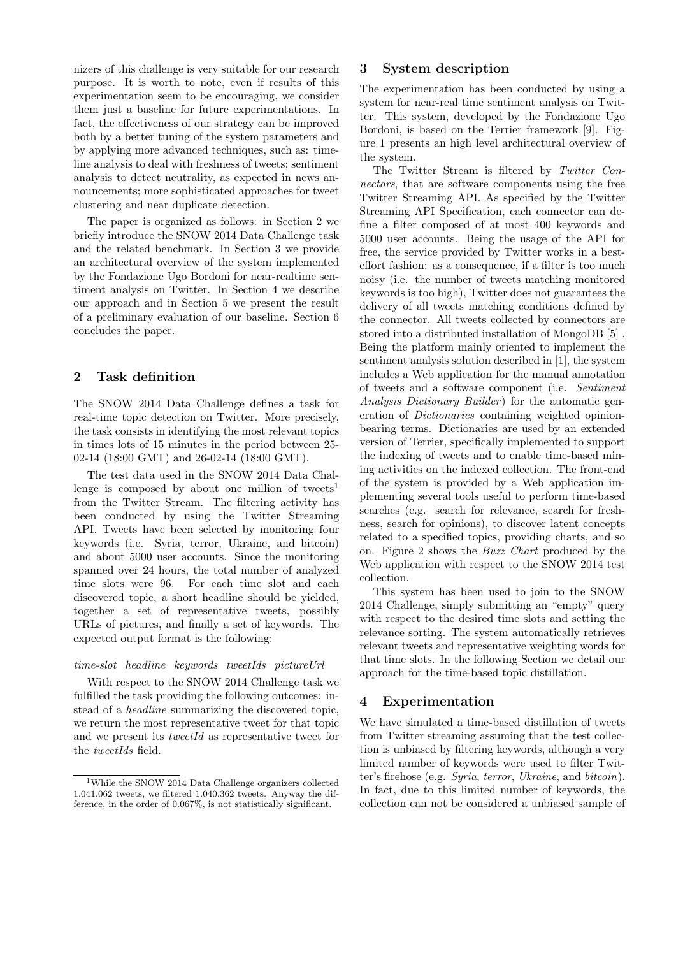nizers of this challenge is very suitable for our research purpose. It is worth to note, even if results of this experimentation seem to be encouraging, we consider them just a baseline for future experimentations. In fact, the effectiveness of our strategy can be improved both by a better tuning of the system parameters and by applying more advanced techniques, such as: timeline analysis to deal with freshness of tweets; sentiment analysis to detect neutrality, as expected in news announcements; more sophisticated approaches for tweet clustering and near duplicate detection.

The paper is organized as follows: in Section 2 we briefly introduce the SNOW 2014 Data Challenge task and the related benchmark. In Section 3 we provide an architectural overview of the system implemented by the Fondazione Ugo Bordoni for near-realtime sentiment analysis on Twitter. In Section 4 we describe our approach and in Section 5 we present the result of a preliminary evaluation of our baseline. Section 6 concludes the paper.

## 2 Task definition

The SNOW 2014 Data Challenge defines a task for real-time topic detection on Twitter. More precisely, the task consists in identifying the most relevant topics in times lots of 15 minutes in the period between 25- 02-14 (18:00 GMT) and 26-02-14 (18:00 GMT).

The test data used in the SNOW 2014 Data Challenge is composed by about one million of tweets<sup>1</sup> from the Twitter Stream. The filtering activity has been conducted by using the Twitter Streaming API. Tweets have been selected by monitoring four keywords (i.e. Syria, terror, Ukraine, and bitcoin) and about 5000 user accounts. Since the monitoring spanned over 24 hours, the total number of analyzed time slots were 96. For each time slot and each discovered topic, a short headline should be yielded, together a set of representative tweets, possibly URLs of pictures, and finally a set of keywords. The expected output format is the following:

#### time-slot headline keywords tweetIds pictureUrl

With respect to the SNOW 2014 Challenge task we fulfilled the task providing the following outcomes: instead of a headline summarizing the discovered topic, we return the most representative tweet for that topic and we present its *tweetId* as representative tweet for the tweetIds field.

#### 3 System description

The experimentation has been conducted by using a system for near-real time sentiment analysis on Twitter. This system, developed by the Fondazione Ugo Bordoni, is based on the Terrier framework [9]. Figure 1 presents an high level architectural overview of the system.

The Twitter Stream is filtered by Twitter Connectors, that are software components using the free Twitter Streaming API. As specified by the Twitter Streaming API Specification, each connector can define a filter composed of at most 400 keywords and 5000 user accounts. Being the usage of the API for free, the service provided by Twitter works in a besteffort fashion: as a consequence, if a filter is too much noisy (i.e. the number of tweets matching monitored keywords is too high), Twitter does not guarantees the delivery of all tweets matching conditions defined by the connector. All tweets collected by connectors are stored into a distributed installation of MongoDB [5] . Being the platform mainly oriented to implement the sentiment analysis solution described in [1], the system includes a Web application for the manual annotation of tweets and a software component (i.e. Sentiment Analysis Dictionary Builder) for the automatic generation of Dictionaries containing weighted opinionbearing terms. Dictionaries are used by an extended version of Terrier, specifically implemented to support the indexing of tweets and to enable time-based mining activities on the indexed collection. The front-end of the system is provided by a Web application implementing several tools useful to perform time-based searches (e.g. search for relevance, search for freshness, search for opinions), to discover latent concepts related to a specified topics, providing charts, and so on. Figure 2 shows the Buzz Chart produced by the Web application with respect to the SNOW 2014 test collection.

This system has been used to join to the SNOW 2014 Challenge, simply submitting an "empty" query with respect to the desired time slots and setting the relevance sorting. The system automatically retrieves relevant tweets and representative weighting words for that time slots. In the following Section we detail our approach for the time-based topic distillation.

## 4 Experimentation

We have simulated a time-based distillation of tweets from Twitter streaming assuming that the test collection is unbiased by filtering keywords, although a very limited number of keywords were used to filter Twitter's firehose (e.g. Syria, terror, Ukraine, and bitcoin). In fact, due to this limited number of keywords, the collection can not be considered a unbiased sample of

 $\overline{\rm ^1Wh}$  the SNOW 2014 Data Challenge organizers collected 1.041.062 tweets, we filtered 1.040.362 tweets. Anyway the difference, in the order of 0.067%, is not statistically significant.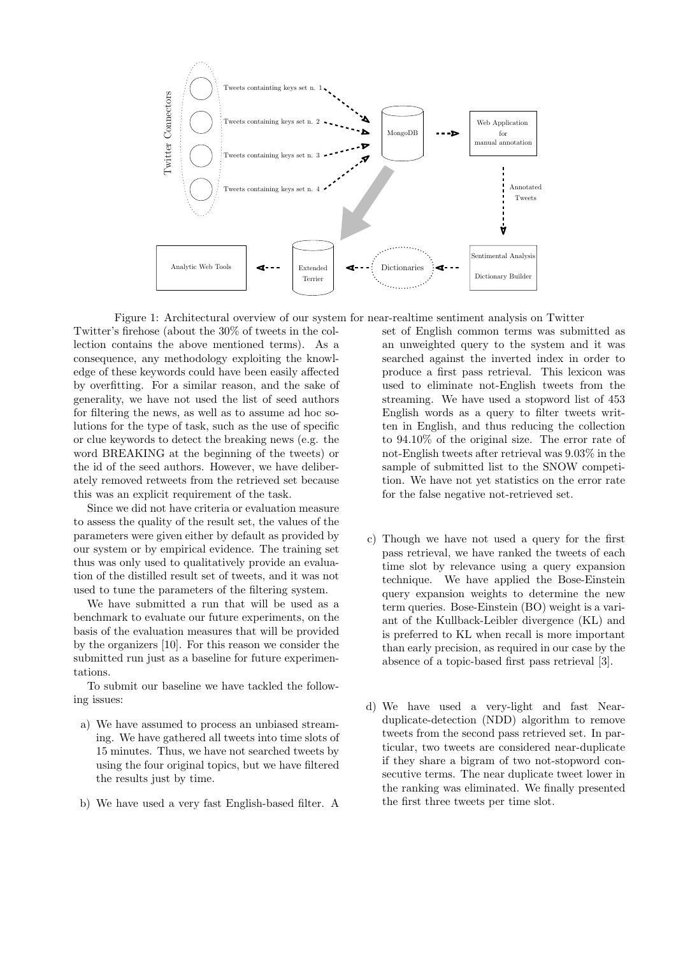

Figure 1: Architectural overview of our system for near-realtime sentiment analysis on Twitter

Twitter's firehose (about the 30% of tweets in the collection contains the above mentioned terms). As a consequence, any methodology exploiting the knowledge of these keywords could have been easily affected by overfitting. For a similar reason, and the sake of generality, we have not used the list of seed authors for filtering the news, as well as to assume ad hoc solutions for the type of task, such as the use of specific or clue keywords to detect the breaking news (e.g. the word BREAKING at the beginning of the tweets) or the id of the seed authors. However, we have deliberately removed retweets from the retrieved set because this was an explicit requirement of the task.

Since we did not have criteria or evaluation measure to assess the quality of the result set, the values of the parameters were given either by default as provided by our system or by empirical evidence. The training set thus was only used to qualitatively provide an evaluation of the distilled result set of tweets, and it was not used to tune the parameters of the filtering system.

We have submitted a run that will be used as a benchmark to evaluate our future experiments, on the basis of the evaluation measures that will be provided by the organizers [10]. For this reason we consider the submitted run just as a baseline for future experimentations.

To submit our baseline we have tackled the following issues:

- a) We have assumed to process an unbiased streaming. We have gathered all tweets into time slots of 15 minutes. Thus, we have not searched tweets by using the four original topics, but we have filtered the results just by time.
- b) We have used a very fast English-based filter. A

set of English common terms was submitted as an unweighted query to the system and it was searched against the inverted index in order to produce a first pass retrieval. This lexicon was used to eliminate not-English tweets from the streaming. We have used a stopword list of 453 English words as a query to filter tweets written in English, and thus reducing the collection to 94.10% of the original size. The error rate of not-English tweets after retrieval was 9.03% in the sample of submitted list to the SNOW competition. We have not yet statistics on the error rate for the false negative not-retrieved set.

- c) Though we have not used a query for the first pass retrieval, we have ranked the tweets of each time slot by relevance using a query expansion technique. We have applied the Bose-Einstein query expansion weights to determine the new term queries. Bose-Einstein (BO) weight is a variant of the Kullback-Leibler divergence (KL) and is preferred to KL when recall is more important than early precision, as required in our case by the absence of a topic-based first pass retrieval [3].
- d) We have used a very-light and fast Nearduplicate-detection (NDD) algorithm to remove tweets from the second pass retrieved set. In particular, two tweets are considered near-duplicate if they share a bigram of two not-stopword consecutive terms. The near duplicate tweet lower in the ranking was eliminated. We finally presented the first three tweets per time slot.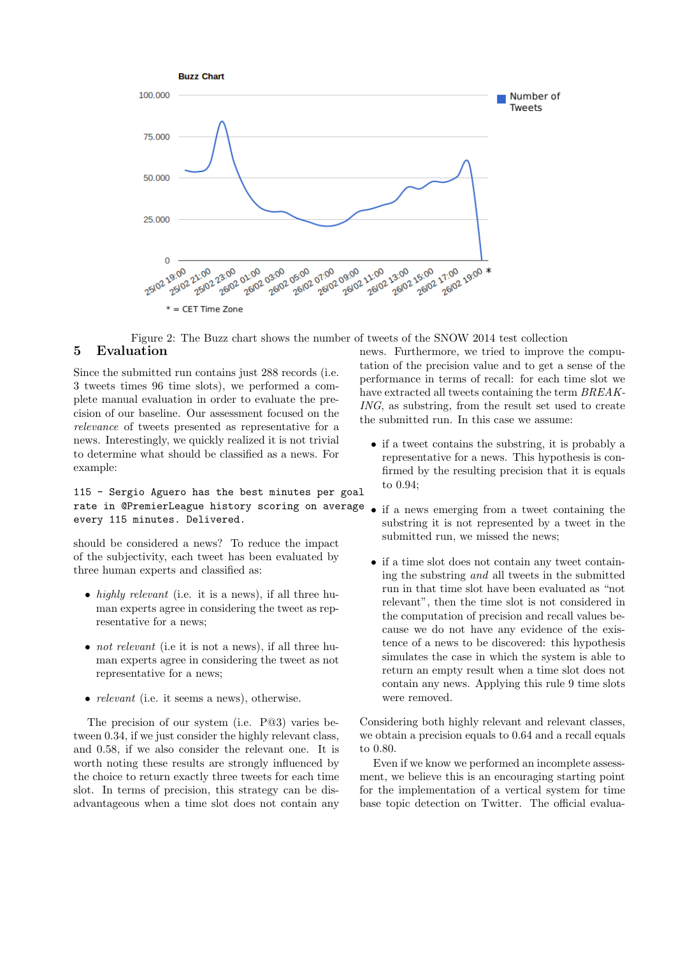

Figure 2: The Buzz chart shows the number of tweets of the SNOW 2014 test collection

# 5 Evaluation

Since the submitted run contains just 288 records (i.e. 3 tweets times 96 time slots), we performed a complete manual evaluation in order to evaluate the precision of our baseline. Our assessment focused on the relevance of tweets presented as representative for a news. Interestingly, we quickly realized it is not trivial to determine what should be classified as a news. For example:

## 115 - Sergio Aguero has the best minutes per goal rate in @PremierLeague history scoring on average every 115 minutes. Delivered.

should be considered a news? To reduce the impact of the subjectivity, each tweet has been evaluated by three human experts and classified as:

- highly relevant (i.e. it is a news), if all three human experts agree in considering the tweet as representative for a news;
- *not relevant* (i.e it is not a news), if all three human experts agree in considering the tweet as not representative for a news;
- *relevant* (i.e. it seems a news), otherwise.

The precision of our system (i.e. P@3) varies between 0.34, if we just consider the highly relevant class, and 0.58, if we also consider the relevant one. It is worth noting these results are strongly influenced by the choice to return exactly three tweets for each time slot. In terms of precision, this strategy can be disadvantageous when a time slot does not contain any

news. Furthermore, we tried to improve the computation of the precision value and to get a sense of the performance in terms of recall: for each time slot we have extracted all tweets containing the term BREAK-ING, as substring, from the result set used to create the submitted run. In this case we assume:

- if a tweet contains the substring, it is probably a representative for a news. This hypothesis is confirmed by the resulting precision that it is equals to 0.94;
- if a news emerging from a tweet containing the substring it is not represented by a tweet in the submitted run, we missed the news;
- if a time slot does not contain any tweet containing the substring and all tweets in the submitted run in that time slot have been evaluated as "not relevant", then the time slot is not considered in the computation of precision and recall values because we do not have any evidence of the existence of a news to be discovered: this hypothesis simulates the case in which the system is able to return an empty result when a time slot does not contain any news. Applying this rule 9 time slots were removed.

Considering both highly relevant and relevant classes, we obtain a precision equals to 0.64 and a recall equals to 0.80.

Even if we know we performed an incomplete assessment, we believe this is an encouraging starting point for the implementation of a vertical system for time base topic detection on Twitter. The official evalua-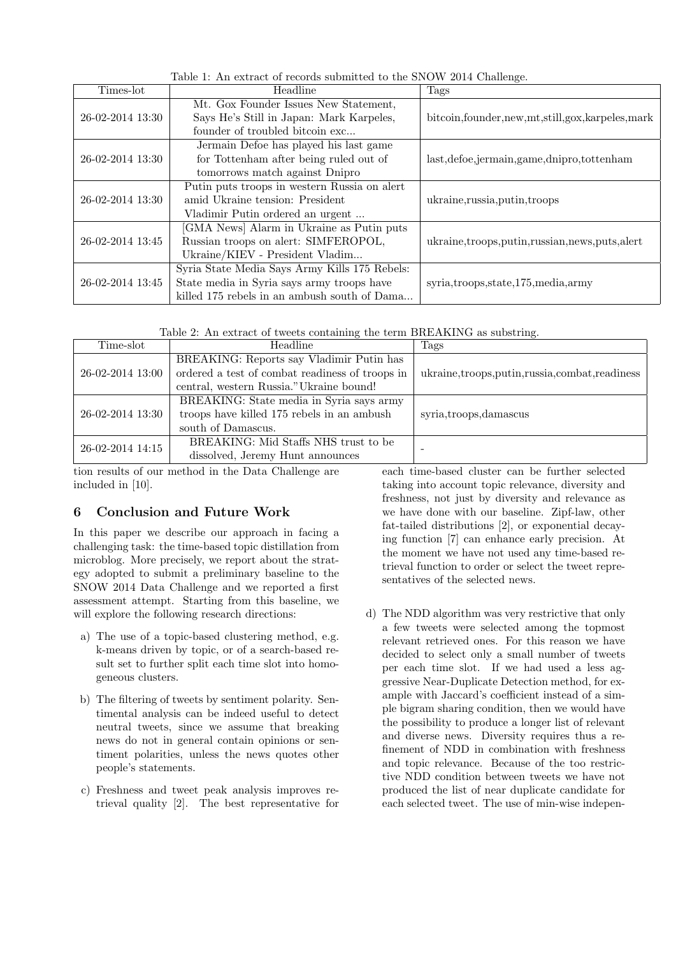| Times-lot        | Headline                                      | Tags                                                  |
|------------------|-----------------------------------------------|-------------------------------------------------------|
| 26-02-2014 13:30 | Mt. Gox Founder Issues New Statement,         |                                                       |
|                  | Says He's Still in Japan: Mark Karpeles,      | bitcoin, founder, new, mt, still, gox, karpeles, mark |
|                  | founder of troubled bitcoin exc               |                                                       |
| 26-02-2014 13:30 | Jermain Defoe has played his last game        |                                                       |
|                  | for Tottenham after being ruled out of        | last, defoe, jermain, game, dnipro, tottenham         |
|                  | tomorrows match against Dnipro                |                                                       |
| 26-02-2014 13:30 | Putin puts troops in western Russia on alert  |                                                       |
|                  | amid Ukraine tension: President               | ukraine, russia, putin, troops                        |
|                  | Vladimir Putin ordered an urgent              |                                                       |
| 26-02-2014 13:45 | [GMA News] Alarm in Ukraine as Putin puts     |                                                       |
|                  | Russian troops on alert: SIMFEROPOL,          | ukraine,troops,putin,russian,news,puts,alert          |
|                  | Ukraine/KIEV - President Vladim               |                                                       |
| 26-02-2014 13:45 | Syria State Media Says Army Kills 175 Rebels: |                                                       |
|                  | State media in Syria says army troops have    | syria,troops,state,175, media,army                    |
|                  | killed 175 rebels in an ambush south of Dama  |                                                       |

Table 1: An extract of records submitted to the SNOW 2014 Challenge.

Table 2: An extract of tweets containing the term BREAKING as substring.

| Time-slot        | Headline                                        | Tags                                         |
|------------------|-------------------------------------------------|----------------------------------------------|
| 26-02-2014 13:00 | BREAKING: Reports say Vladimir Putin has        |                                              |
|                  | ordered a test of combat readiness of troops in | ukraine,troops,putin,russia,combat,readiness |
|                  | central, western Russia." Ukraine bound!        |                                              |
| 26-02-2014 13:30 | BREAKING: State media in Syria says army        |                                              |
|                  | troops have killed 175 rebels in an ambush      | syria,troops,damascus                        |
|                  | south of Damascus.                              |                                              |
| 26-02-2014 14:15 | BREAKING: Mid Staffs NHS trust to be            |                                              |
|                  | dissolved, Jeremy Hunt announces                |                                              |

tion results of our method in the Data Challenge are included in [10].

## 6 Conclusion and Future Work

In this paper we describe our approach in facing a challenging task: the time-based topic distillation from microblog. More precisely, we report about the strategy adopted to submit a preliminary baseline to the SNOW 2014 Data Challenge and we reported a first assessment attempt. Starting from this baseline, we will explore the following research directions:

- a) The use of a topic-based clustering method, e.g. k-means driven by topic, or of a search-based result set to further split each time slot into homogeneous clusters.
- b) The filtering of tweets by sentiment polarity. Sentimental analysis can be indeed useful to detect neutral tweets, since we assume that breaking news do not in general contain opinions or sentiment polarities, unless the news quotes other people's statements.
- c) Freshness and tweet peak analysis improves retrieval quality [2]. The best representative for

each time-based cluster can be further selected taking into account topic relevance, diversity and freshness, not just by diversity and relevance as we have done with our baseline. Zipf-law, other fat-tailed distributions [2], or exponential decaying function [7] can enhance early precision. At the moment we have not used any time-based retrieval function to order or select the tweet representatives of the selected news.

d) The NDD algorithm was very restrictive that only a few tweets were selected among the topmost relevant retrieved ones. For this reason we have decided to select only a small number of tweets per each time slot. If we had used a less aggressive Near-Duplicate Detection method, for example with Jaccard's coefficient instead of a simple bigram sharing condition, then we would have the possibility to produce a longer list of relevant and diverse news. Diversity requires thus a refinement of NDD in combination with freshness and topic relevance. Because of the too restrictive NDD condition between tweets we have not produced the list of near duplicate candidate for each selected tweet. The use of min-wise indepen